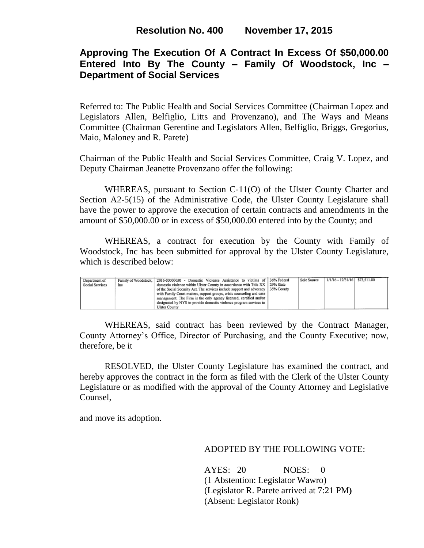## **Approving The Execution Of A Contract In Excess Of \$50,000.00 Entered Into By The County – Family Of Woodstock, Inc – Department of Social Services**

Referred to: The Public Health and Social Services Committee (Chairman Lopez and Legislators Allen, Belfiglio, Litts and Provenzano), and The Ways and Means Committee (Chairman Gerentine and Legislators Allen, Belfiglio, Briggs, Gregorius, Maio, Maloney and R. Parete)

Chairman of the Public Health and Social Services Committee, Craig V. Lopez, and Deputy Chairman Jeanette Provenzano offer the following:

WHEREAS, pursuant to Section C-11(O) of the Ulster County Charter and Section A2-5(15) of the Administrative Code, the Ulster County Legislature shall have the power to approve the execution of certain contracts and amendments in the amount of \$50,000.00 or in excess of \$50,000.00 entered into by the County; and

WHEREAS, a contract for execution by the County with Family of Woodstock, Inc has been submitted for approval by the Ulster County Legislature, which is described below:

| Department of   |     | Family of Woodstock, 2016-00000030 - Domestic Violence Assistance to victims of 36% Federal | Sole Source | 1/1/16 - 12/31/16 \$73,511.00 |  |
|-----------------|-----|---------------------------------------------------------------------------------------------|-------------|-------------------------------|--|
| Social Services | Inc | domestic violence within Ulster County in accordance with Title XX   29% State              |             |                               |  |
|                 |     | of the Social Security Act. The services include support and advocacy   35% County          |             |                               |  |
|                 |     | with Family Court matters, support groups, crisis counseling and case                       |             |                               |  |
|                 |     | management. The Firm is the only agency licensed, certified and/or                          |             |                               |  |
|                 |     | designated by NYS to provide domestic violence program services in                          |             |                               |  |
|                 |     | <b>Ulster County</b>                                                                        |             |                               |  |

WHEREAS, said contract has been reviewed by the Contract Manager, County Attorney's Office, Director of Purchasing, and the County Executive; now, therefore, be it

RESOLVED, the Ulster County Legislature has examined the contract, and hereby approves the contract in the form as filed with the Clerk of the Ulster County Legislature or as modified with the approval of the County Attorney and Legislative Counsel,

and move its adoption.

ADOPTED BY THE FOLLOWING VOTE:

AYES: 20 NOES: 0 (1 Abstention: Legislator Wawro) (Legislator R. Parete arrived at 7:21 PM**)** (Absent: Legislator Ronk)